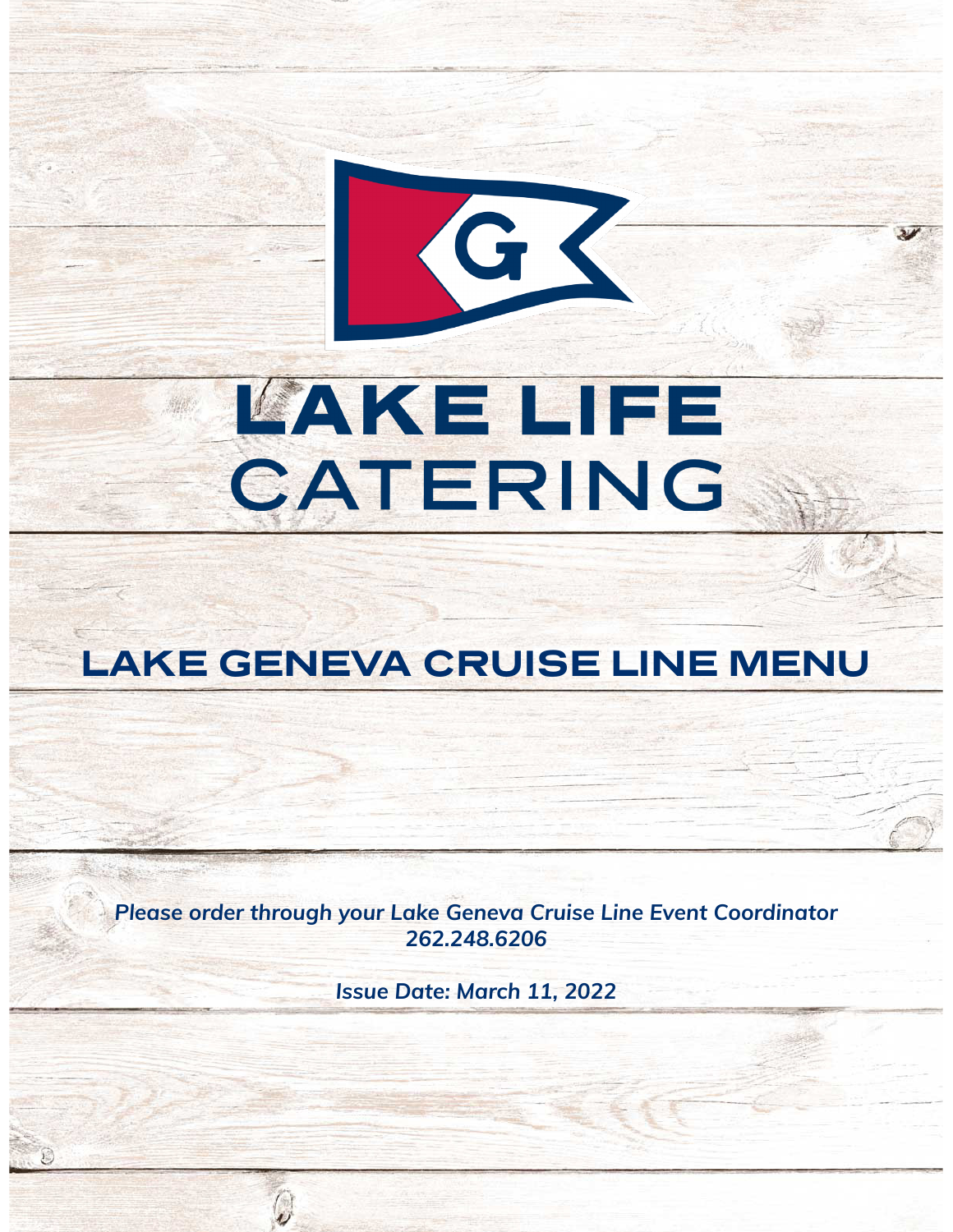# **LAKE LIFE** CATERING

GK

## **LAKE GENEVA CRUISE LINE MENU**

*Please order through your Lake Geneva Cruise Line Event Coordinator 262.248.6206*

*Issue Date: March 11, 2022*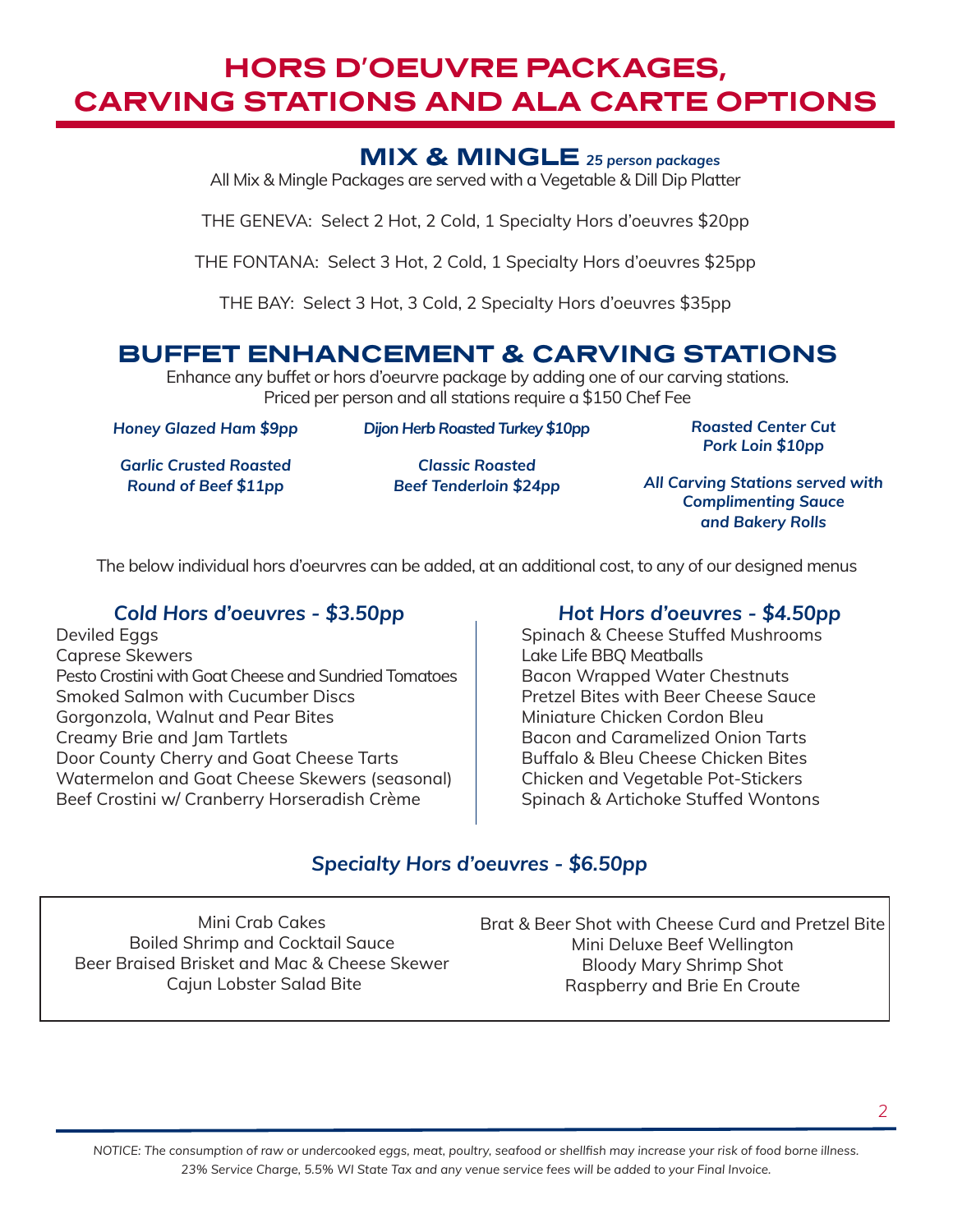## **HORS D'OEUVRE PACKAGES, CARVING STATIONS AND ALA CARTE OPTIONS**

#### **MIX & MINGLE** *25 person packages*

All Mix & Mingle Packages are served with a Vegetable & Dill Dip Platter

THE GENEVA: Select 2 Hot, 2 Cold, 1 Specialty Hors d'oeuvres \$20pp

THE FONTANA: Select 3 Hot, 2 Cold, 1 Specialty Hors d'oeuvres \$25pp

THE BAY: Select 3 Hot, 3 Cold, 2 Specialty Hors d'oeuvres \$35pp

### **BUFFET ENHANCEMENT & CARVING STATIONS**

Enhance any buffet or hors d'oeurvre package by adding one of our carving stations. Priced per person and all stations require a \$150 Chef Fee

*Honey Glazed Ham \$9pp* 

*Dijon Herb Roasted Turkey \$10pp* 

*Roasted Center Cut Pork Loin \$10pp*

*Garlic Crusted Roasted Round of Beef \$11pp*

*Classic Roasted Beef Tenderloin \$24pp*

*All Carving Stations served with Complimenting Sauce and Bakery Rolls*

The below individual hors d'oeurvres can be added, at an additional cost, to any of our designed menus

#### *Cold Hors d'oeuvres - \$3.50pp*

Deviled Eggs Caprese Skewers Pesto Crostini with Goat Cheese and Sundried Tomatoes Smoked Salmon with Cucumber Discs Gorgonzola, Walnut and Pear Bites Creamy Brie and Jam Tartlets Door County Cherry and Goat Cheese Tarts Watermelon and Goat Cheese Skewers (seasonal) Beef Crostini w/ Cranberry Horseradish Crème

#### *Hot Hors d'oeuvres - \$4.50pp*

Spinach & Cheese Stuffed Mushrooms Lake Life BBQ Meatballs Bacon Wrapped Water Chestnuts Pretzel Bites with Beer Cheese Sauce Miniature Chicken Cordon Bleu Bacon and Caramelized Onion Tarts Buffalo & Bleu Cheese Chicken Bites Chicken and Vegetable Pot-Stickers Spinach & Artichoke Stuffed Wontons

#### *Specialty Hors d'oeuvres - \$6.50pp*

Mini Crab Cakes Boiled Shrimp and Cocktail Sauce Beer Braised Brisket and Mac & Cheese Skewer Cajun Lobster Salad Bite

Brat & Beer Shot with Cheese Curd and Pretzel Bite Mini Deluxe Beef Wellington Bloody Mary Shrimp Shot Raspberry and Brie En Croute

*NOTICE: The consumption of raw or undercooked eggs, meat, poultry, seafood or shellfish may increase your risk of food borne illness. 23% Service Charge, 5.5% WI State Tax and any venue service fees will be added to your Final Invoice.*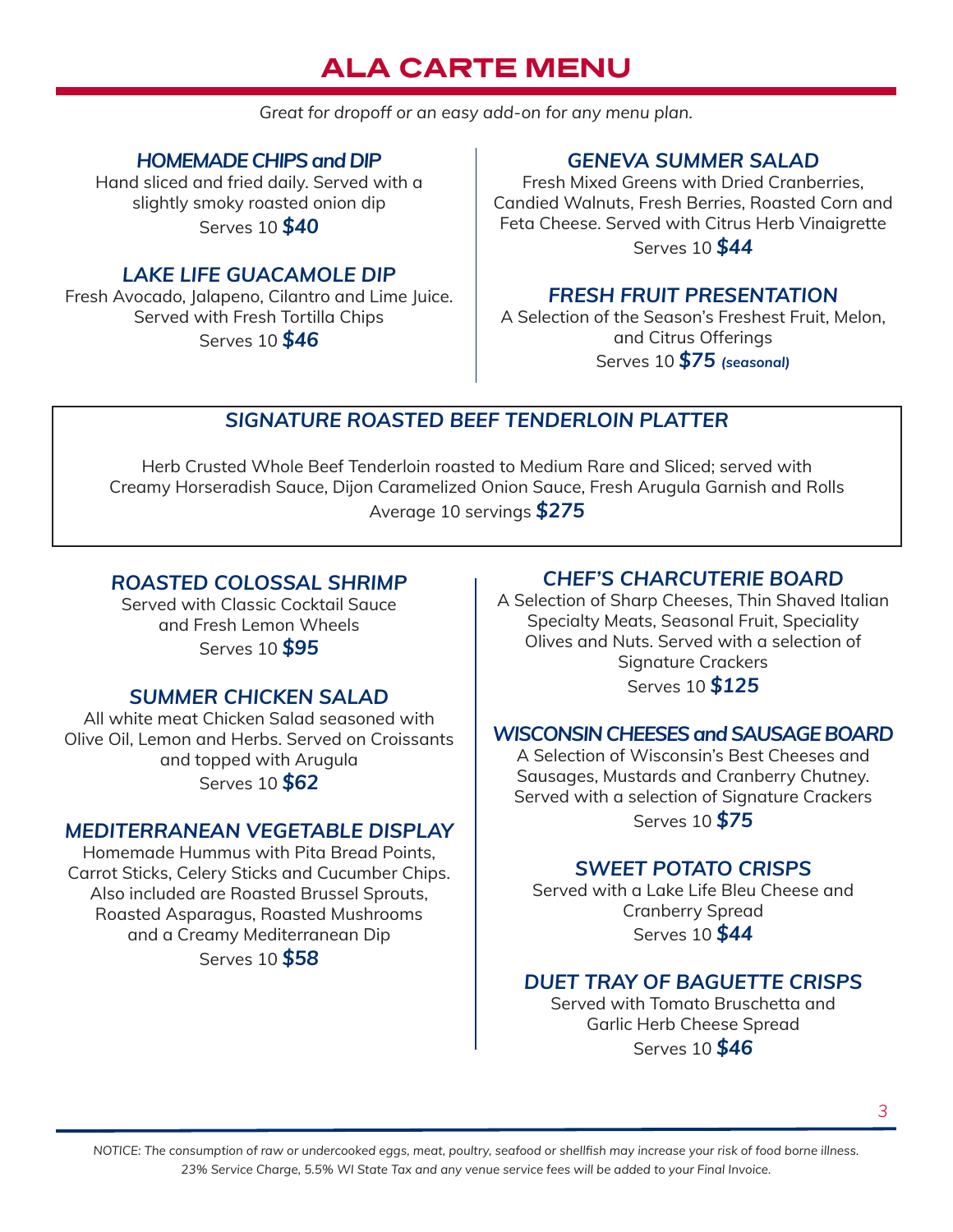## **ALA CARTE MENU**

*Great for dropoff or an easy add-on for any menu plan.*

*HOMEMADE CHIPS and DIP*

Hand sliced and fried daily. Served with a slightly smoky roasted onion dip Serves 10 *\$40*

#### *LAKE LIFE GUACAMOLE DIP*

Fresh Avocado, Jalapeno, Cilantro and Lime Juice. Served with Fresh Tortilla Chips Serves 10 *\$46* 

#### *GENEVA SUMMER SALAD*

Fresh Mixed Greens with Dried Cranberries, Candied Walnuts, Fresh Berries, Roasted Corn and Feta Cheese. Served with Citrus Herb Vinaigrette Serves 10 *\$44*

#### *FRESH FRUIT PRESENTATION*

A Selection of the Season's Freshest Fruit, Melon, and Citrus Offerings Serves 10 *\$75 (seasonal)*

#### *SIGNATURE ROASTED BEEF TENDERLOIN PLATTER*

Herb Crusted Whole Beef Tenderloin roasted to Medium Rare and Sliced; served with Creamy Horseradish Sauce, Dijon Caramelized Onion Sauce, Fresh Arugula Garnish and Rolls Average 10 servings *\$275*

#### *ROASTED COLOSSAL SHRIMP*

Served with Classic Cocktail Sauce and Fresh Lemon Wheels Serves 10 *\$95* 

#### *SUMMER CHICKEN SALAD*

All white meat Chicken Salad seasoned with Olive Oil, Lemon and Herbs. Served on Croissants and topped with Arugula Serves 10 *\$62*

#### *MEDITERRANEAN VEGETABLE DISPLAY*

Homemade Hummus with Pita Bread Points, Carrot Sticks, Celery Sticks and Cucumber Chips. Also included are Roasted Brussel Sprouts, Roasted Asparagus, Roasted Mushrooms and a Creamy Mediterranean Dip Serves 10 *\$58*

#### *CHEF'S CHARCUTERIE BOARD*

A Selection of Sharp Cheeses, Thin Shaved Italian Specialty Meats, Seasonal Fruit, Speciality Olives and Nuts. Served with a selection of Signature Crackers Serves 10 *\$125*

#### *WISCONSIN CHEESES and SAUSAGE BOARD*

A Selection of Wisconsin's Best Cheeses and Sausages, Mustards and Cranberry Chutney. Served with a selection of Signature Crackers Serves 10 *\$75*

#### *SWEET POTATO CRISPS*

Served with a Lake Life Bleu Cheese and Cranberry Spread Serves 10 *\$44* 

#### *DUET TRAY OF BAGUETTE CRISPS*

Served with Tomato Bruschetta and Garlic Herb Cheese Spread Serves 10 *\$46*

*NOTICE: The consumption of raw or undercooked eggs, meat, poultry, seafood or shellfish may increase your risk of food borne illness. 23% Service Charge, 5.5% WI State Tax and any venue service fees will be added to your Final Invoice.*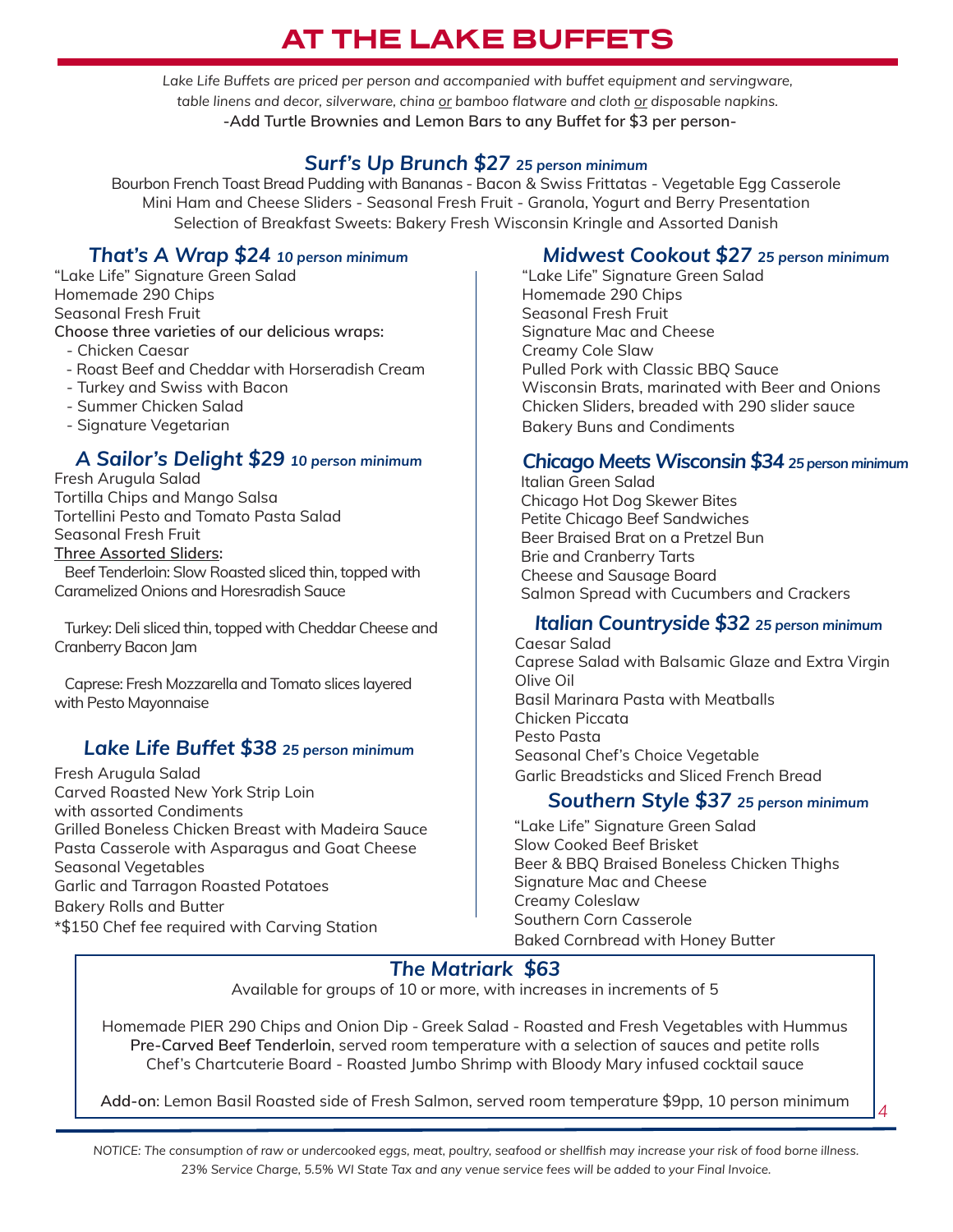## **AT THE LAKE BUFFETS**

Lake Life Buffets are priced per person and accompanied with buffet equipment and servingware, *table linens and decor, silverware, china or bamboo flatware and cloth or disposable napkins.* **-Add Turtle Brownies and Lemon Bars to any Buffet for \$3 per person-**

#### *Surf's Up Brunch \$27 25 person minimum*

Bourbon French Toast Bread Pudding with Bananas - Bacon & Swiss Frittatas - Vegetable Egg Casserole Mini Ham and Cheese Sliders - Seasonal Fresh Fruit - Granola, Yogurt and Berry Presentation Selection of Breakfast Sweets: Bakery Fresh Wisconsin Kringle and Assorted Danish

#### *That's A Wrap \$24 10 person minimum*

"Lake Life" Signature Green Salad Homemade 290 Chips Seasonal Fresh Fruit **Choose three varieties of our delicious wraps:**

- Chicken Caesar
- Roast Beef and Cheddar with Horseradish Cream
- Turkey and Swiss with Bacon
- Summer Chicken Salad
- Signature Vegetarian

#### *A Sailor's Delight \$29 10 person minimum*

Fresh Arugula Salad Tortilla Chips and Mango Salsa Tortellini Pesto and Tomato Pasta Salad Seasonal Fresh Fruit **Three Assorted Sliders:** Beef Tenderloin: Slow Roasted sliced thin, topped with

Caramelized Onions and Horesradish Sauce

 Turkey: Deli sliced thin, topped with Cheddar Cheese and Cranberry Bacon Jam

 Caprese: Fresh Mozzarella and Tomato slices layered with Pesto Mayonnaise

#### *Lake Life Buffet \$38 25 person minimum*

Fresh Arugula Salad Carved Roasted New York Strip Loin with assorted Condiments Grilled Boneless Chicken Breast with Madeira Sauce Pasta Casserole with Asparagus and Goat Cheese Seasonal Vegetables Garlic and Tarragon Roasted Potatoes Bakery Rolls and Butter \*\$150 Chef fee required with Carving Station

#### *Midwest Cookout \$27 25 person minimum*

"Lake Life" Signature Green Salad Homemade 290 Chips Seasonal Fresh Fruit Signature Mac and Cheese Creamy Cole Slaw Pulled Pork with Classic BBQ Sauce Wisconsin Brats, marinated with Beer and Onions Chicken Sliders, breaded with 290 slider sauce Bakery Buns and Condiments

#### *Chicago Meets Wisconsin \$34 25 person minimum*

Italian Green Salad Chicago Hot Dog Skewer Bites Petite Chicago Beef Sandwiches Beer Braised Brat on a Pretzel Bun Brie and Cranberry Tarts Cheese and Sausage Board Salmon Spread with Cucumbers and Crackers

#### *Italian Countryside \$32 25 person minimum*

Caesar Salad Caprese Salad with Balsamic Glaze and Extra Virgin Olive Oil Basil Marinara Pasta with Meatballs Chicken Piccata Pesto Pasta Seasonal Chef's Choice Vegetable Garlic Breadsticks and Sliced French Bread

#### *Southern Style \$37 25 person minimum*

*4*

"Lake Life" Signature Green Salad Slow Cooked Beef Brisket Beer & BBQ Braised Boneless Chicken Thighs Signature Mac and Cheese Creamy Coleslaw Southern Corn Casserole Baked Cornbread with Honey Butter

#### *The Matriark \$63*

Available for groups of 10 or more, with increases in increments of 5

Homemade PIER 290 Chips and Onion Dip - Greek Salad - Roasted and Fresh Vegetables with Hummus **Pre-Carved Beef Tenderloin**, served room temperature with a selection of sauces and petite rolls Chef's Chartcuterie Board - Roasted Jumbo Shrimp with Bloody Mary infused cocktail sauce

**Add-on**: Lemon Basil Roasted side of Fresh Salmon, served room temperature \$9pp, 10 person minimum

*NOTICE: The consumption of raw or undercooked eggs, meat, poultry, seafood or shellfish may increase your risk of food borne illness. 23% Service Charge, 5.5% WI State Tax and any venue service fees will be added to your Final Invoice.*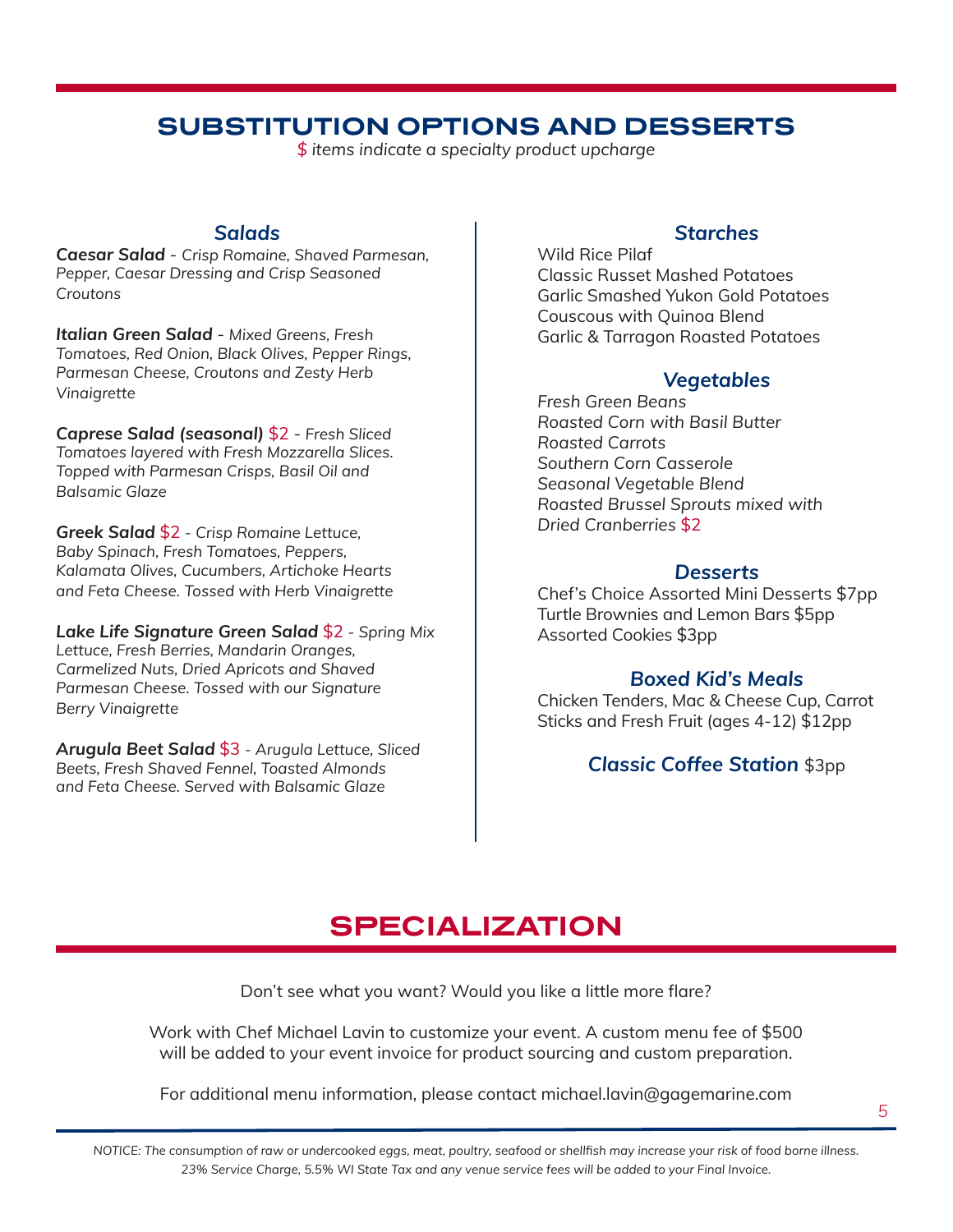## **SUBSTITUTION OPTIONS AND DESSERTS**

*\$ items indicate a specialty product upcharge*

#### *Salads*

*Caesar Salad - Crisp Romaine, Shaved Parmesan, Pepper, Caesar Dressing and Crisp Seasoned Croutons*

*Italian Green Salad - Mixed Greens, Fresh Tomatoes, Red Onion, Black Olives, Pepper Rings, Parmesan Cheese, Croutons and Zesty Herb Vinaigrette*

*Caprese Salad (seasonal)* \$2 *- Fresh Sliced Tomatoes layered with Fresh Mozzarella Slices. Topped with Parmesan Crisps, Basil Oil and Balsamic Glaze*

*Greek Salad* \$2 *- Crisp Romaine Lettuce, Baby Spinach, Fresh Tomatoes, Peppers, Kalamata Olives, Cucumbers, Artichoke Hearts and Feta Cheese. Tossed with Herb Vinaigrette*

*Lake Life Signature Green Salad* \$2 *- Spring Mix Lettuce, Fresh Berries, Mandarin Oranges, Carmelized Nuts, Dried Apricots and Shaved Parmesan Cheese. Tossed with our Signature Berry Vinaigrette*

*Arugula Beet Salad* \$3 *- Arugula Lettuce, Sliced Beets, Fresh Shaved Fennel, Toasted Almonds and Feta Cheese. Served with Balsamic Glaze* 

#### *Starches*

Wild Rice Pilaf Classic Russet Mashed Potatoes Garlic Smashed Yukon Gold Potatoes Couscous with Quinoa Blend Garlic & Tarragon Roasted Potatoes

#### *Vegetables*

*Fresh Green Beans Roasted Corn with Basil Butter Roasted Carrots Southern Corn Casserole Seasonal Vegetable Blend Roasted Brussel Sprouts mixed with Dried Cranberries* \$2

#### *Desserts*

Chef's Choice Assorted Mini Desserts \$7pp Turtle Brownies and Lemon Bars \$5pp Assorted Cookies \$3pp

#### *Boxed Kid's Meals*

Chicken Tenders, Mac & Cheese Cup, Carrot Sticks and Fresh Fruit (ages 4-12) \$12pp

#### *Classic Coffee Station* \$3pp

## **SPECIALIZATION**

Don't see what you want? Would you like a little more flare?

Work with Chef Michael Lavin to customize your event. A custom menu fee of \$500 will be added to your event invoice for product sourcing and custom preparation.

For additional menu information, please contact michael.lavin@gagemarine.com